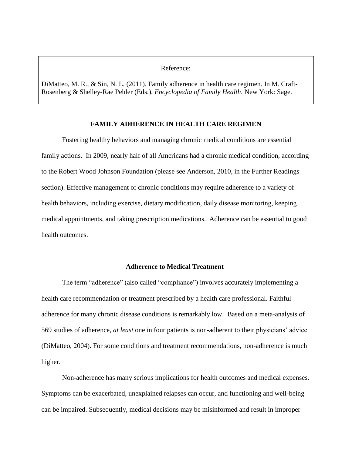# Reference:

DiMatteo, M. R., & Sin, N. L. (2011). Family adherence in health care regimen. In M. Craft-Rosenberg & Shelley-Rae Pehler (Eds.), *Encyclopedia of Family Health*. New York: Sage.

# **FAMILY ADHERENCE IN HEALTH CARE REGIMEN**

Fostering healthy behaviors and managing chronic medical conditions are essential family actions. In 2009, nearly half of all Americans had a chronic medical condition, according to the Robert Wood Johnson Foundation (please see Anderson, 2010, in the Further Readings section). Effective management of chronic conditions may require adherence to a variety of health behaviors, including exercise, dietary modification, daily disease monitoring, keeping medical appointments, and taking prescription medications. Adherence can be essential to good health outcomes.

# **Adherence to Medical Treatment**

The term "adherence" (also called "compliance") involves accurately implementing a health care recommendation or treatment prescribed by a health care professional. Faithful adherence for many chronic disease conditions is remarkably low. Based on a meta-analysis of 569 studies of adherence, *at least* one in four patients is non-adherent to their physicians' advice (DiMatteo, 2004). For some conditions and treatment recommendations, non-adherence is much higher.

Non-adherence has many serious implications for health outcomes and medical expenses. Symptoms can be exacerbated, unexplained relapses can occur, and functioning and well-being can be impaired. Subsequently, medical decisions may be misinformed and result in improper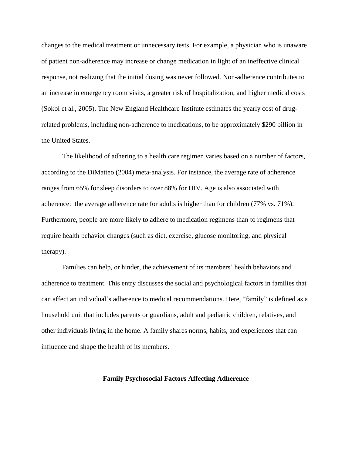changes to the medical treatment or unnecessary tests. For example, a physician who is unaware of patient non-adherence may increase or change medication in light of an ineffective clinical response, not realizing that the initial dosing was never followed. Non-adherence contributes to an increase in emergency room visits, a greater risk of hospitalization, and higher medical costs (Sokol et al., 2005). The New England Healthcare Institute estimates the yearly cost of drugrelated problems, including non-adherence to medications, to be approximately \$290 billion in the United States.

The likelihood of adhering to a health care regimen varies based on a number of factors, according to the DiMatteo (2004) meta-analysis. For instance, the average rate of adherence ranges from 65% for sleep disorders to over 88% for HIV. Age is also associated with adherence: the average adherence rate for adults is higher than for children (77% vs. 71%). Furthermore, people are more likely to adhere to medication regimens than to regimens that require health behavior changes (such as diet, exercise, glucose monitoring, and physical therapy).

Families can help, or hinder, the achievement of its members' health behaviors and adherence to treatment. This entry discusses the social and psychological factors in families that can affect an individual's adherence to medical recommendations. Here, "family" is defined as a household unit that includes parents or guardians, adult and pediatric children, relatives, and other individuals living in the home. A family shares norms, habits, and experiences that can influence and shape the health of its members.

# **Family Psychosocial Factors Affecting Adherence**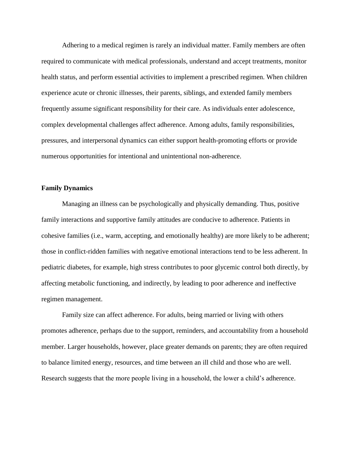Adhering to a medical regimen is rarely an individual matter. Family members are often required to communicate with medical professionals, understand and accept treatments, monitor health status, and perform essential activities to implement a prescribed regimen. When children experience acute or chronic illnesses, their parents, siblings, and extended family members frequently assume significant responsibility for their care. As individuals enter adolescence, complex developmental challenges affect adherence. Among adults, family responsibilities, pressures, and interpersonal dynamics can either support health-promoting efforts or provide numerous opportunities for intentional and unintentional non-adherence.

# **Family Dynamics**

Managing an illness can be psychologically and physically demanding. Thus, positive family interactions and supportive family attitudes are conducive to adherence. Patients in cohesive families (i.e., warm, accepting, and emotionally healthy) are more likely to be adherent; those in conflict-ridden families with negative emotional interactions tend to be less adherent. In pediatric diabetes, for example, high stress contributes to poor glycemic control both directly, by affecting metabolic functioning, and indirectly, by leading to poor adherence and ineffective regimen management.

Family size can affect adherence. For adults, being married or living with others promotes adherence, perhaps due to the support, reminders, and accountability from a household member. Larger households, however, place greater demands on parents; they are often required to balance limited energy, resources, and time between an ill child and those who are well. Research suggests that the more people living in a household, the lower a child's adherence.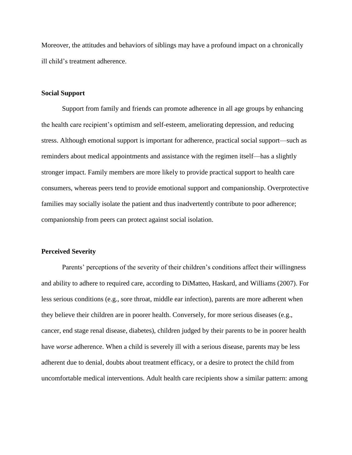Moreover, the attitudes and behaviors of siblings may have a profound impact on a chronically ill child's treatment adherence.

## **Social Support**

Support from family and friends can promote adherence in all age groups by enhancing the health care recipient's optimism and self-esteem, ameliorating depression, and reducing stress. Although emotional support is important for adherence, practical social support—such as reminders about medical appointments and assistance with the regimen itself—has a slightly stronger impact. Family members are more likely to provide practical support to health care consumers, whereas peers tend to provide emotional support and companionship. Overprotective families may socially isolate the patient and thus inadvertently contribute to poor adherence; companionship from peers can protect against social isolation.

#### **Perceived Severity**

Parents' perceptions of the severity of their children's conditions affect their willingness and ability to adhere to required care, according to DiMatteo, Haskard, and Williams (2007). For less serious conditions (e.g., sore throat, middle ear infection), parents are more adherent when they believe their children are in poorer health. Conversely, for more serious diseases (e.g., cancer, end stage renal disease, diabetes), children judged by their parents to be in poorer health have *worse* adherence. When a child is severely ill with a serious disease, parents may be less adherent due to denial, doubts about treatment efficacy, or a desire to protect the child from uncomfortable medical interventions. Adult health care recipients show a similar pattern: among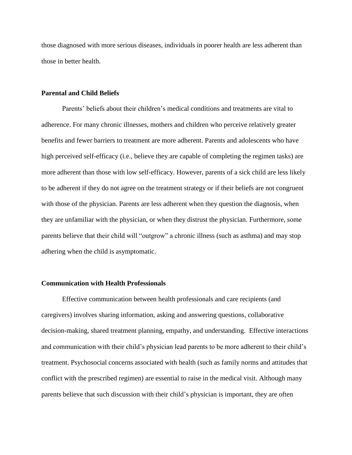those diagnosed with more serious diseases, individuals in poorer health are less adherent than those in better health.

## **Parental and Child Beliefs**

Parents' beliefs about their children's medical conditions and treatments are vital to adherence. For many chronic illnesses, mothers and children who perceive relatively greater benefits and fewer barriers to treatment are more adherent. Parents and adolescents who have high perceived self-efficacy (i.e., believe they are capable of completing the regimen tasks) are more adherent than those with low self-efficacy. However, parents of a sick child are less likely to be adherent if they do not agree on the treatment strategy or if their beliefs are not congruent with those of the physician. Parents are less adherent when they question the diagnosis, when they are unfamiliar with the physician, or when they distrust the physician. Furthermore, some parents believe that their child will "outgrow" a chronic illness (such as asthma) and may stop adhering when the child is asymptomatic.

# **Communication with Health Professionals**

Effective communication between health professionals and care recipients (and caregivers) involves sharing information, asking and answering questions, collaborative decision-making, shared treatment planning, empathy, and understanding. Effective interactions and communication with their child's physician lead parents to be more adherent to their child's treatment. Psychosocial concerns associated with health (such as family norms and attitudes that conflict with the prescribed regimen) are essential to raise in the medical visit. Although many parents believe that such discussion with their child's physician is important, they are often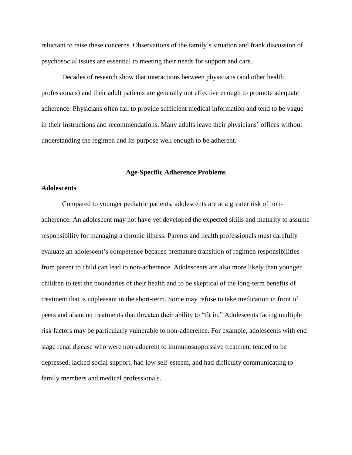reluctant to raise these concerns. Observations of the family's situation and frank discussion of psychosocial issues are essential to meeting their needs for support and care.

Decades of research show that interactions between physicians (and other health professionals) and their adult patients are generally not effective enough to promote adequate adherence. Physicians often fail to provide sufficient medical information and tend to be vague in their instructions and recommendations. Many adults leave their physicians' offices without understanding the regimen and its purpose well enough to be adherent.

#### **Age-Specific Adherence Problems**

# **Adolescents**

Compared to younger pediatric patients, adolescents are at a greater risk of nonadherence. An adolescent may not have yet developed the expected skills and maturity to assume responsibility for managing a chronic illness. Parents and health professionals must carefully evaluate an adolescent's competence because premature transition of regimen responsibilities from parent to child can lead to non-adherence. Adolescents are also more likely than younger children to test the boundaries of their health and to be skeptical of the long-term benefits of treatment that is unpleasant in the short-term. Some may refuse to take medication in front of peers and abandon treatments that threaten their ability to "fit in." Adolescents facing multiple risk factors may be particularly vulnerable to non-adherence. For example, adolescents with end stage renal disease who were non-adherent to immunosuppressive treatment tended to be depressed, lacked social support, had low self-esteem, and had difficulty communicating to family members and medical professionals.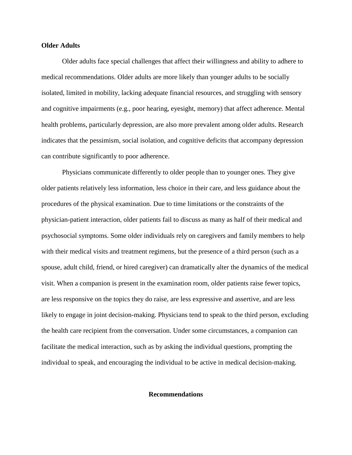## **Older Adults**

Older adults face special challenges that affect their willingness and ability to adhere to medical recommendations. Older adults are more likely than younger adults to be socially isolated, limited in mobility, lacking adequate financial resources, and struggling with sensory and cognitive impairments (e.g., poor hearing, eyesight, memory) that affect adherence. Mental health problems, particularly depression, are also more prevalent among older adults. Research indicates that the pessimism, social isolation, and cognitive deficits that accompany depression can contribute significantly to poor adherence.

Physicians communicate differently to older people than to younger ones. They give older patients relatively less information, less choice in their care, and less guidance about the procedures of the physical examination. Due to time limitations or the constraints of the physician-patient interaction, older patients fail to discuss as many as half of their medical and psychosocial symptoms. Some older individuals rely on caregivers and family members to help with their medical visits and treatment regimens, but the presence of a third person (such as a spouse, adult child, friend, or hired caregiver) can dramatically alter the dynamics of the medical visit. When a companion is present in the examination room, older patients raise fewer topics, are less responsive on the topics they do raise, are less expressive and assertive, and are less likely to engage in joint decision-making. Physicians tend to speak to the third person, excluding the health care recipient from the conversation. Under some circumstances, a companion can facilitate the medical interaction, such as by asking the individual questions, prompting the individual to speak, and encouraging the individual to be active in medical decision-making.

#### **Recommendations**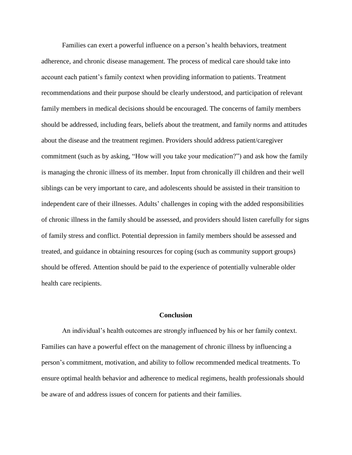Families can exert a powerful influence on a person's health behaviors, treatment adherence, and chronic disease management. The process of medical care should take into account each patient's family context when providing information to patients. Treatment recommendations and their purpose should be clearly understood, and participation of relevant family members in medical decisions should be encouraged. The concerns of family members should be addressed, including fears, beliefs about the treatment, and family norms and attitudes about the disease and the treatment regimen. Providers should address patient/caregiver commitment (such as by asking, "How will you take your medication?") and ask how the family is managing the chronic illness of its member. Input from chronically ill children and their well siblings can be very important to care, and adolescents should be assisted in their transition to independent care of their illnesses. Adults' challenges in coping with the added responsibilities of chronic illness in the family should be assessed, and providers should listen carefully for signs of family stress and conflict. Potential depression in family members should be assessed and treated, and guidance in obtaining resources for coping (such as community support groups) should be offered. Attention should be paid to the experience of potentially vulnerable older health care recipients.

#### **Conclusion**

An individual's health outcomes are strongly influenced by his or her family context. Families can have a powerful effect on the management of chronic illness by influencing a person's commitment, motivation, and ability to follow recommended medical treatments. To ensure optimal health behavior and adherence to medical regimens, health professionals should be aware of and address issues of concern for patients and their families.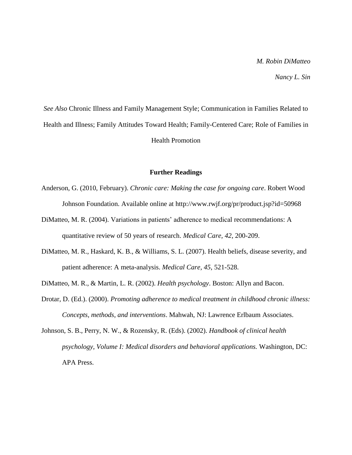# *M. Robin DiMatteo*

*Nancy L. Sin*

*See Also* Chronic Illness and Family Management Style; Communication in Families Related to Health and Illness; Family Attitudes Toward Health; Family-Centered Care; Role of Families in Health Promotion

#### **Further Readings**

- Anderson, G. (2010, February). *Chronic care: Making the case for ongoing care*. Robert Wood Johnson Foundation. Available online at http://www.rwjf.org/pr/product.jsp?id=50968
- DiMatteo, M. R. (2004). Variations in patients' adherence to medical recommendations: A quantitative review of 50 years of research. *Medical Care, 42*, 200-209.
- DiMatteo, M. R., Haskard, K. B., & Williams, S. L. (2007). Health beliefs, disease severity, and patient adherence: A meta-analysis. *Medical Care, 45*, 521-528.
- DiMatteo, M. R., & Martin, L. R. (2002). *Health psychology*. Boston: Allyn and Bacon.
- Drotar, D. (Ed.). (2000). *Promoting adherence to medical treatment in childhood chronic illness: Concepts, methods, and interventions*. Mahwah, NJ: Lawrence Erlbaum Associates.
- Johnson, S. B., Perry, N. W., & Rozensky, R. (Eds). (2002). *Handbook of clinical health psychology, Volume I: Medical disorders and behavioral applications.* Washington, DC: APA Press.